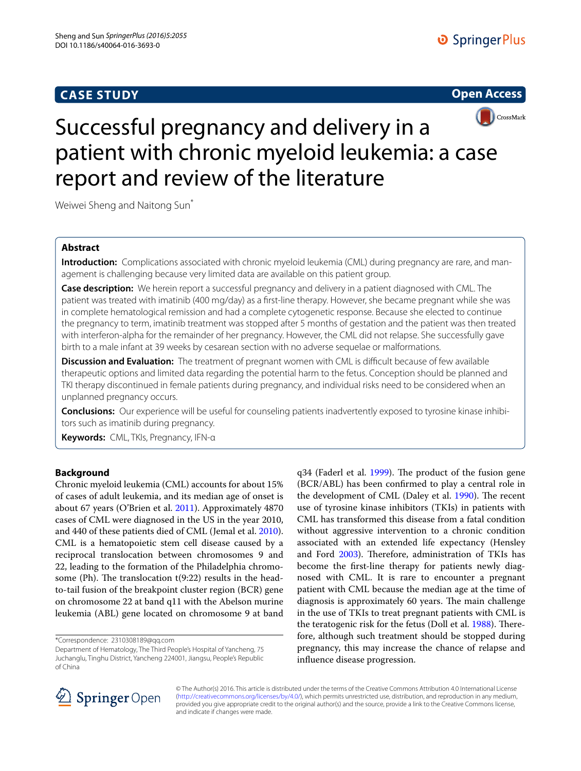## **CASE STUDY**





# Successful pregnancy and delivery in a patient with chronic myeloid leukemia: a case report and review of the literature

Weiwei Sheng and Naitong Sun<sup>\*</sup>

## **Abstract**

**Introduction:** Complications associated with chronic myeloid leukemia (CML) during pregnancy are rare, and management is challenging because very limited data are available on this patient group.

**Case description:** We herein report a successful pregnancy and delivery in a patient diagnosed with CML. The patient was treated with imatinib (400 mg/day) as a first-line therapy. However, she became pregnant while she was in complete hematological remission and had a complete cytogenetic response. Because she elected to continue the pregnancy to term, imatinib treatment was stopped after 5 months of gestation and the patient was then treated with interferon-alpha for the remainder of her pregnancy. However, the CML did not relapse. She successfully gave birth to a male infant at 39 weeks by cesarean section with no adverse sequelae or malformations.

**Discussion and Evaluation:** The treatment of pregnant women with CML is difficult because of few available therapeutic options and limited data regarding the potential harm to the fetus. Conception should be planned and TKI therapy discontinued in female patients during pregnancy, and individual risks need to be considered when an unplanned pregnancy occurs.

**Conclusions:** Our experience will be useful for counseling patients inadvertently exposed to tyrosine kinase inhibitors such as imatinib during pregnancy.

**Keywords:** CML, TKIs, Pregnancy, IFN-α

### **Background**

Chronic myeloid leukemia (CML) accounts for about 15% of cases of adult leukemia, and its median age of onset is about 67 years (O'Brien et al. [2011](#page-4-0)). Approximately 4870 cases of CML were diagnosed in the US in the year 2010, and 440 of these patients died of CML (Jemal et al. [2010](#page-3-0)). CML is a hematopoietic stem cell disease caused by a reciprocal translocation between chromosomes 9 and 22, leading to the formation of the Philadelphia chromosome (Ph). The translocation t(9:22) results in the headto-tail fusion of the breakpoint cluster region (BCR) gene on chromosome 22 at band q11 with the Abelson murine leukemia (ABL) gene located on chromosome 9 at band

\*Correspondence: 2310308189@qq.com

q34 (Faderl et al. [1999\)](#page-3-1). The product of the fusion gene (BCR/ABL) has been confirmed to play a central role in the development of CML (Daley et al. [1990\)](#page-3-2). The recent use of tyrosine kinase inhibitors (TKIs) in patients with CML has transformed this disease from a fatal condition without aggressive intervention to a chronic condition associated with an extended life expectancy (Hensley and Ford [2003](#page-3-3)). Therefore, administration of TKIs has become the first-line therapy for patients newly diagnosed with CML. It is rare to encounter a pregnant patient with CML because the median age at the time of diagnosis is approximately 60 years. The main challenge in the use of TKIs to treat pregnant patients with CML is the teratogenic risk for the fetus (Doll et al. [1988](#page-3-4)). Therefore, although such treatment should be stopped during pregnancy, this may increase the chance of relapse and influence disease progression.



© The Author(s) 2016. This article is distributed under the terms of the Creative Commons Attribution 4.0 International License [\(http://creativecommons.org/licenses/by/4.0/\)](http://creativecommons.org/licenses/by/4.0/), which permits unrestricted use, distribution, and reproduction in any medium, provided you give appropriate credit to the original author(s) and the source, provide a link to the Creative Commons license, and indicate if changes were made.

Department of Hematology, The Third People's Hospital of Yancheng, 75 Juchanglu, Tinghu District, Yancheng 224001, Jiangsu, People's Republic of China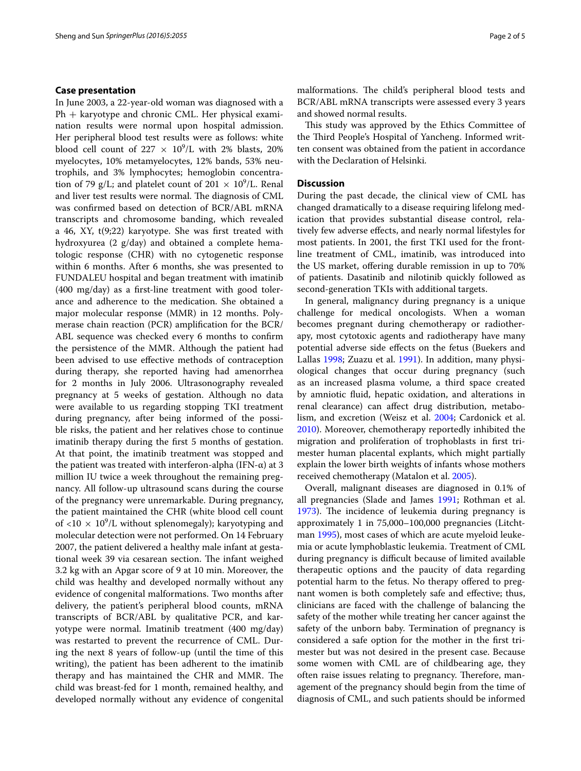#### **Case presentation**

In June 2003, a 22-year-old woman was diagnosed with a  $Ph + karyotype$  and chronic CML. Her physical examination results were normal upon hospital admission. Her peripheral blood test results were as follows: white blood cell count of  $227 \times 10^9$ /L with 2% blasts, 20% myelocytes, 10% metamyelocytes, 12% bands, 53% neutrophils, and 3% lymphocytes; hemoglobin concentration of 79 g/L; and platelet count of  $201 \times 10^9$ /L. Renal and liver test results were normal. The diagnosis of CML was confirmed based on detection of BCR/ABL mRNA transcripts and chromosome banding, which revealed a 46, XY, t(9;22) karyotype. She was first treated with hydroxyurea (2 g/day) and obtained a complete hematologic response (CHR) with no cytogenetic response within 6 months. After 6 months, she was presented to FUNDALEU hospital and began treatment with imatinib (400 mg/day) as a first-line treatment with good tolerance and adherence to the medication. She obtained a major molecular response (MMR) in 12 months. Polymerase chain reaction (PCR) amplification for the BCR/ ABL sequence was checked every 6 months to confirm the persistence of the MMR. Although the patient had been advised to use effective methods of contraception during therapy, she reported having had amenorrhea for 2 months in July 2006. Ultrasonography revealed pregnancy at 5 weeks of gestation. Although no data were available to us regarding stopping TKI treatment during pregnancy, after being informed of the possible risks, the patient and her relatives chose to continue imatinib therapy during the first 5 months of gestation. At that point, the imatinib treatment was stopped and the patient was treated with interferon-alpha (IFN-α) at 3 million IU twice a week throughout the remaining pregnancy. All follow-up ultrasound scans during the course of the pregnancy were unremarkable. During pregnancy, the patient maintained the CHR (white blood cell count of <10  $\times$  10<sup>9</sup>/L without splenomegaly); karyotyping and molecular detection were not performed. On 14 February 2007, the patient delivered a healthy male infant at gestational week 39 via cesarean section. The infant weighed 3.2 kg with an Apgar score of 9 at 10 min. Moreover, the child was healthy and developed normally without any evidence of congenital malformations. Two months after delivery, the patient's peripheral blood counts, mRNA transcripts of BCR/ABL by qualitative PCR, and karyotype were normal. Imatinib treatment (400 mg/day) was restarted to prevent the recurrence of CML. During the next 8 years of follow-up (until the time of this writing), the patient has been adherent to the imatinib therapy and has maintained the CHR and MMR. The child was breast-fed for 1 month, remained healthy, and developed normally without any evidence of congenital

malformations. The child's peripheral blood tests and BCR/ABL mRNA transcripts were assessed every 3 years and showed normal results.

This study was approved by the Ethics Committee of the Third People's Hospital of Yancheng. Informed written consent was obtained from the patient in accordance with the Declaration of Helsinki.

#### **Discussion**

During the past decade, the clinical view of CML has changed dramatically to a disease requiring lifelong medication that provides substantial disease control, relatively few adverse effects, and nearly normal lifestyles for most patients. In 2001, the first TKI used for the frontline treatment of CML, imatinib, was introduced into the US market, offering durable remission in up to 70% of patients. Dasatinib and nilotinib quickly followed as second-generation TKIs with additional targets.

In general, malignancy during pregnancy is a unique challenge for medical oncologists. When a woman becomes pregnant during chemotherapy or radiotherapy, most cytotoxic agents and radiotherapy have many potential adverse side effects on the fetus (Buekers and Lallas [1998](#page-3-5); Zuazu et al. [1991](#page-4-1)). In addition, many physiological changes that occur during pregnancy (such as an increased plasma volume, a third space created by amniotic fluid, hepatic oxidation, and alterations in renal clearance) can affect drug distribution, metabolism, and excretion (Weisz et al. [2004](#page-4-2); Cardonick et al. [2010](#page-3-6)). Moreover, chemotherapy reportedly inhibited the migration and proliferation of trophoblasts in first trimester human placental explants, which might partially explain the lower birth weights of infants whose mothers received chemotherapy (Matalon et al. [2005](#page-4-3)).

Overall, malignant diseases are diagnosed in 0.1% of all pregnancies (Slade and James [1991;](#page-4-4) Rothman et al. [1973](#page-4-5)). The incidence of leukemia during pregnancy is approximately 1 in 75,000–100,000 pregnancies (Litchtman [1995](#page-3-7)), most cases of which are acute myeloid leukemia or acute lymphoblastic leukemia. Treatment of CML during pregnancy is difficult because of limited available therapeutic options and the paucity of data regarding potential harm to the fetus. No therapy offered to pregnant women is both completely safe and effective; thus, clinicians are faced with the challenge of balancing the safety of the mother while treating her cancer against the safety of the unborn baby. Termination of pregnancy is considered a safe option for the mother in the first trimester but was not desired in the present case. Because some women with CML are of childbearing age, they often raise issues relating to pregnancy. Therefore, management of the pregnancy should begin from the time of diagnosis of CML, and such patients should be informed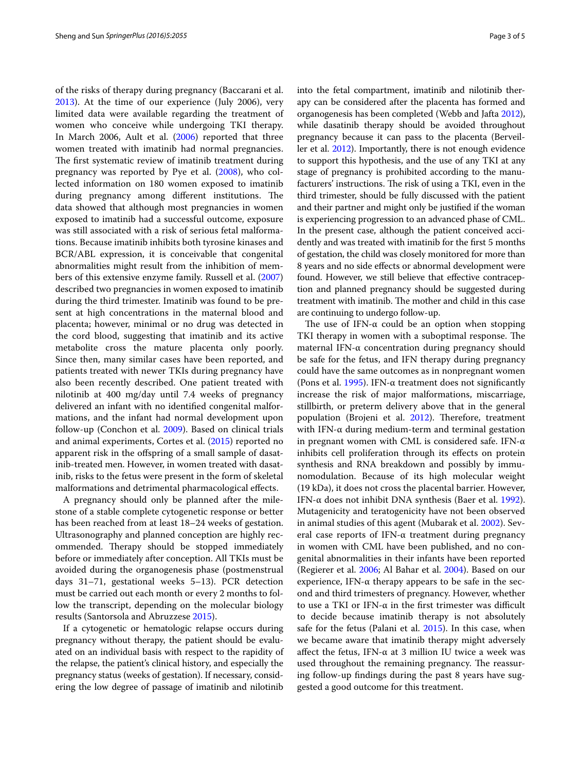of the risks of therapy during pregnancy (Baccarani et al. [2013](#page-3-8)). At the time of our experience (July 2006), very limited data were available regarding the treatment of women who conceive while undergoing TKI therapy. In March 2006, Ault et al. [\(2006](#page-3-9)) reported that three women treated with imatinib had normal pregnancies. The first systematic review of imatinib treatment during pregnancy was reported by Pye et al. [\(2008\)](#page-4-6), who collected information on 180 women exposed to imatinib during pregnancy among different institutions. The data showed that although most pregnancies in women exposed to imatinib had a successful outcome, exposure was still associated with a risk of serious fetal malformations. Because imatinib inhibits both tyrosine kinases and BCR/ABL expression, it is conceivable that congenital abnormalities might result from the inhibition of members of this extensive enzyme family. Russell et al. ([2007](#page-4-7)) described two pregnancies in women exposed to imatinib during the third trimester. Imatinib was found to be present at high concentrations in the maternal blood and placenta; however, minimal or no drug was detected in the cord blood, suggesting that imatinib and its active metabolite cross the mature placenta only poorly. Since then, many similar cases have been reported, and patients treated with newer TKIs during pregnancy have also been recently described. One patient treated with nilotinib at 400 mg/day until 7.4 weeks of pregnancy delivered an infant with no identified congenital malformations, and the infant had normal development upon follow-up (Conchon et al. [2009](#page-3-10)). Based on clinical trials and animal experiments, Cortes et al. [\(2015\)](#page-3-11) reported no apparent risk in the offspring of a small sample of dasatinib-treated men. However, in women treated with dasatinib, risks to the fetus were present in the form of skeletal malformations and detrimental pharmacological effects.

A pregnancy should only be planned after the milestone of a stable complete cytogenetic response or better has been reached from at least 18–24 weeks of gestation. Ultrasonography and planned conception are highly recommended. Therapy should be stopped immediately before or immediately after conception. All TKIs must be avoided during the organogenesis phase (postmenstrual days 31–71, gestational weeks 5–13). PCR detection must be carried out each month or every 2 months to follow the transcript, depending on the molecular biology results (Santorsola and Abruzzese [2015](#page-4-8)).

If a cytogenetic or hematologic relapse occurs during pregnancy without therapy, the patient should be evaluated on an individual basis with respect to the rapidity of the relapse, the patient's clinical history, and especially the pregnancy status (weeks of gestation). If necessary, considering the low degree of passage of imatinib and nilotinib into the fetal compartment, imatinib and nilotinib therapy can be considered after the placenta has formed and organogenesis has been completed (Webb and Jafta [2012](#page-4-9)), while dasatinib therapy should be avoided throughout pregnancy because it can pass to the placenta (Berveiller et al. [2012\)](#page-3-12). Importantly, there is not enough evidence to support this hypothesis, and the use of any TKI at any stage of pregnancy is prohibited according to the manufacturers' instructions. The risk of using a TKI, even in the third trimester, should be fully discussed with the patient and their partner and might only be justified if the woman is experiencing progression to an advanced phase of CML. In the present case, although the patient conceived accidently and was treated with imatinib for the first 5 months of gestation, the child was closely monitored for more than 8 years and no side effects or abnormal development were found. However, we still believe that effective contraception and planned pregnancy should be suggested during treatment with imatinib. The mother and child in this case are continuing to undergo follow-up.

The use of IFN- $\alpha$  could be an option when stopping TKI therapy in women with a suboptimal response. The maternal IFN-α concentration during pregnancy should be safe for the fetus, and IFN therapy during pregnancy could have the same outcomes as in nonpregnant women (Pons et al. [1995](#page-4-10)). IFN- $\alpha$  treatment does not significantly increase the risk of major malformations, miscarriage, stillbirth, or preterm delivery above that in the general population (Brojeni et al. [2012](#page-3-13)). Therefore, treatment with IFN-α during medium-term and terminal gestation in pregnant women with CML is considered safe. IFN- $\alpha$ inhibits cell proliferation through its effects on protein synthesis and RNA breakdown and possibly by immunomodulation. Because of its high molecular weight (19 kDa), it does not cross the placental barrier. However, IFN-α does not inhibit DNA synthesis (Baer et al. [1992](#page-3-14)). Mutagenicity and teratogenicity have not been observed in animal studies of this agent (Mubarak et al. [2002\)](#page-4-11). Several case reports of IFN-α treatment during pregnancy in women with CML have been published, and no congenital abnormalities in their infants have been reported (Regierer et al. [2006;](#page-4-12) Al Bahar et al. [2004](#page-3-15)). Based on our experience, IFN- $\alpha$  therapy appears to be safe in the second and third trimesters of pregnancy. However, whether to use a TKI or IFN-α in the first trimester was difficult to decide because imatinib therapy is not absolutely safe for the fetus (Palani et al. [2015\)](#page-4-13). In this case, when we became aware that imatinib therapy might adversely affect the fetus, IFN- $\alpha$  at 3 million IU twice a week was used throughout the remaining pregnancy. The reassuring follow-up findings during the past 8 years have suggested a good outcome for this treatment.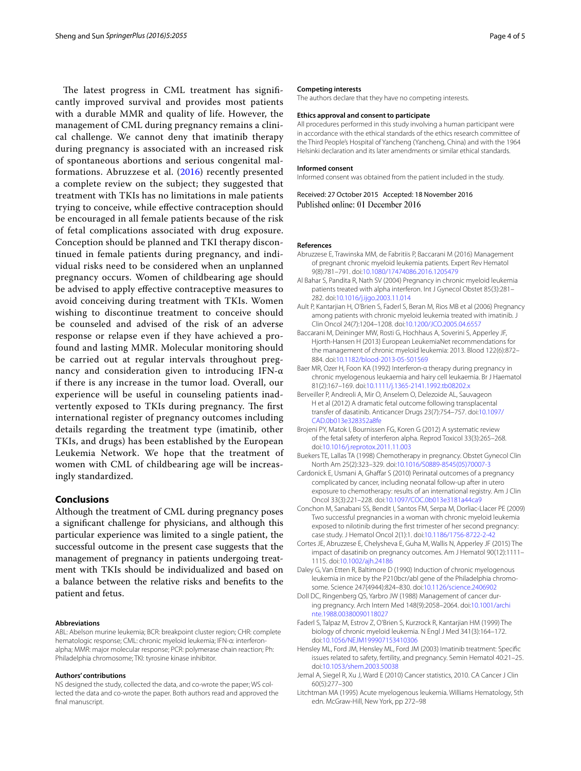The latest progress in CML treatment has significantly improved survival and provides most patients with a durable MMR and quality of life. However, the management of CML during pregnancy remains a clinical challenge. We cannot deny that imatinib therapy during pregnancy is associated with an increased risk of spontaneous abortions and serious congenital malformations. Abruzzese et al. ([2016](#page-3-16)) recently presented a complete review on the subject; they suggested that treatment with TKIs has no limitations in male patients trying to conceive, while effective contraception should be encouraged in all female patients because of the risk of fetal complications associated with drug exposure. Conception should be planned and TKI therapy discontinued in female patients during pregnancy, and individual risks need to be considered when an unplanned pregnancy occurs. Women of childbearing age should be advised to apply effective contraceptive measures to avoid conceiving during treatment with TKIs. Women wishing to discontinue treatment to conceive should be counseled and advised of the risk of an adverse response or relapse even if they have achieved a profound and lasting MMR. Molecular monitoring should be carried out at regular intervals throughout pregnancy and consideration given to introducing IFN-α if there is any increase in the tumor load. Overall, our experience will be useful in counseling patients inadvertently exposed to TKIs during pregnancy. The first international register of pregnancy outcomes including details regarding the treatment type (imatinib, other TKIs, and drugs) has been established by the European Leukemia Network. We hope that the treatment of women with CML of childbearing age will be increasingly standardized.

## **Conclusions**

Although the treatment of CML during pregnancy poses a significant challenge for physicians, and although this particular experience was limited to a single patient, the successful outcome in the present case suggests that the management of pregnancy in patients undergoing treatment with TKIs should be individualized and based on a balance between the relative risks and benefits to the patient and fetus.

#### **Abbreviations**

ABL: Abelson murine leukemia; BCR: breakpoint cluster region; CHR: complete hematologic response; CML: chronic myeloid leukemia; IFN-α: interferonalpha; MMR: major molecular response; PCR: polymerase chain reaction; Ph: Philadelphia chromosome; TKI: tyrosine kinase inhibitor.

#### **Authors' contributions**

NS designed the study, collected the data, and co-wrote the paper; WS collected the data and co-wrote the paper. Both authors read and approved the final manuscript.

#### **Competing interests**

The authors declare that they have no competing interests.

#### **Ethics approval and consent to participate**

All procedures performed in this study involving a human participant were in accordance with the ethical standards of the ethics research committee of the Third People's Hospital of Yancheng (Yancheng, China) and with the 1964 Helsinki declaration and its later amendments or similar ethical standards.

#### **Informed consent**

Informed consent was obtained from the patient included in the study.

Received: 27 October 2015 Accepted: 18 November 2016 Published online: 01 December 2016

#### **References**

- <span id="page-3-16"></span>Abruzzese E, Trawinska MM, de Fabritiis P, Baccarani M (2016) Management of pregnant chronic myeloid leukemia patients. Expert Rev Hematol 9(8):781–791. doi:[10.1080/17474086.2016.1205479](http://dx.doi.org/10.1080/17474086.2016.1205479)
- <span id="page-3-15"></span>Al Bahar S, Pandita R, Nath SV (2004) Pregnancy in chronic myeloid leukemia patients treated with alpha interferon. Int J Gynecol Obstet 85(3):281– 282. doi:[10.1016/j.ijgo.2003.11.014](http://dx.doi.org/10.1016/j.ijgo.2003.11.014)
- <span id="page-3-9"></span>Ault P, Kantarjian H, O'Brien S, Faderl S, Beran M, Rios MB et al (2006) Pregnancy among patients with chronic myeloid leukemia treated with imatinib. J Clin Oncol 24(7):1204–1208. doi:[10.1200/JCO.2005.04.6557](http://dx.doi.org/10.1200/JCO.2005.04.6557)
- <span id="page-3-8"></span>Baccarani M, Deininger MW, Rosti G, Hochhaus A, Soverini S, Apperley JF, Hjorth-Hansen H (2013) European LeukemiaNet recommendations for the management of chronic myeloid leukemia: 2013. Blood 122(6):872– 884. doi:[10.1182/blood-2013-05-501569](http://dx.doi.org/10.1182/blood-2013-05-501569)
- <span id="page-3-14"></span>Baer MR, Ozer H, Foon KA (1992) Interferon-α therapy during pregnancy in chronic myelogenous leukaemia and hairy cell leukaemia. Br J Haematol 81(2):167–169. doi:[10.1111/j.1365-2141.1992.tb08202.x](http://dx.doi.org/10.1111/j.1365-2141.1992.tb08202.x)
- <span id="page-3-12"></span>Berveiller P, Andreoli A, Mir O, Anselem O, Delezoide AL, Sauvageon H et al (2012) A dramatic fetal outcome following transplacental transfer of dasatinib. Anticancer Drugs 23(7):754–757. doi:[10.1097/](http://dx.doi.org/10.1097/CAD.0b013e328352a8fe) [CAD.0b013e328352a8fe](http://dx.doi.org/10.1097/CAD.0b013e328352a8fe)
- <span id="page-3-13"></span>Brojeni PY, Matok I, Bournissen FG, Koren G (2012) A systematic review of the fetal safety of interferon alpha. Reprod Toxicol 33(3):265–268. doi:[10.1016/j.reprotox.2011.11.003](http://dx.doi.org/10.1016/j.reprotox.2011.11.003)
- <span id="page-3-5"></span>Buekers TE, Lallas TA (1998) Chemotherapy in pregnancy. Obstet Gynecol Clin North Am 25(2):323–329. doi:[10.1016/S0889-8545\(05\)70007-3](http://dx.doi.org/10.1016/S0889-8545(05)70007-3)
- <span id="page-3-6"></span>Cardonick E, Usmani A, Ghaffar S (2010) Perinatal outcomes of a pregnancy complicated by cancer, including neonatal follow-up after in utero exposure to chemotherapy: results of an international registry. Am J Clin Oncol 33(3):221–228. doi[:10.1097/COC.0b013e3181a44ca9](http://dx.doi.org/10.1097/COC.0b013e3181a44ca9)
- <span id="page-3-10"></span>Conchon M, Sanabani SS, Bendit I, Santos FM, Serpa M, Dorliac-Llacer PE (2009) Two successful pregnancies in a woman with chronic myeloid leukemia exposed to nilotinib during the first trimester of her second pregnancy: case study. J Hematol Oncol 2(1):1. doi[:10.1186/1756-8722-2-42](http://dx.doi.org/10.1186/1756-8722-2-42)
- <span id="page-3-11"></span>Cortes JE, Abruzzese E, Chelysheva E, Guha M, Wallis N, Apperley JF (2015) The impact of dasatinib on pregnancy outcomes. Am J Hematol 90(12):1111– 1115. doi[:10.1002/ajh.24186](http://dx.doi.org/10.1002/ajh.24186)
- <span id="page-3-2"></span>Daley G, Van Etten R, Baltimore D (1990) Induction of chronic myelogenous leukemia in mice by the P210bcr/abl gene of the Philadelphia chromosome. Science 247(4944):824–830. doi[:10.1126/science.2406902](http://dx.doi.org/10.1126/science.2406902)
- <span id="page-3-4"></span>Doll DC, Ringenberg QS, Yarbro JW (1988) Management of cancer during pregnancy. Arch Intern Med 148(9):2058–2064. doi[:10.1001/archi](http://dx.doi.org/10.1001/archinte.1988.00380090118027) [nte.1988.00380090118027](http://dx.doi.org/10.1001/archinte.1988.00380090118027)
- <span id="page-3-1"></span>Faderl S, Talpaz M, Estrov Z, O'Brien S, Kurzrock R, Kantarjian HM (1999) The biology of chronic myeloid leukemia. N Engl J Med 341(3):164–172. doi:[10.1056/NEJM199907153410306](http://dx.doi.org/10.1056/NEJM199907153410306)
- <span id="page-3-3"></span>Hensley ML, Ford JM, Hensley ML, Ford JM (2003) Imatinib treatment: Specific issues related to safety, fertility, and pregnancy. Semin Hematol 40:21–25. doi:[10.1053/shem.2003.50038](http://dx.doi.org/10.1053/shem.2003.50038)
- <span id="page-3-0"></span>Jemal A, Siegel R, Xu J, Ward E (2010) Cancer statistics, 2010. CA Cancer J Clin 60(5):277–300
- <span id="page-3-7"></span>Litchtman MA (1995) Acute myelogenous leukemia. Williams Hematology, 5th edn. McGraw-Hill, New York, pp 272–98